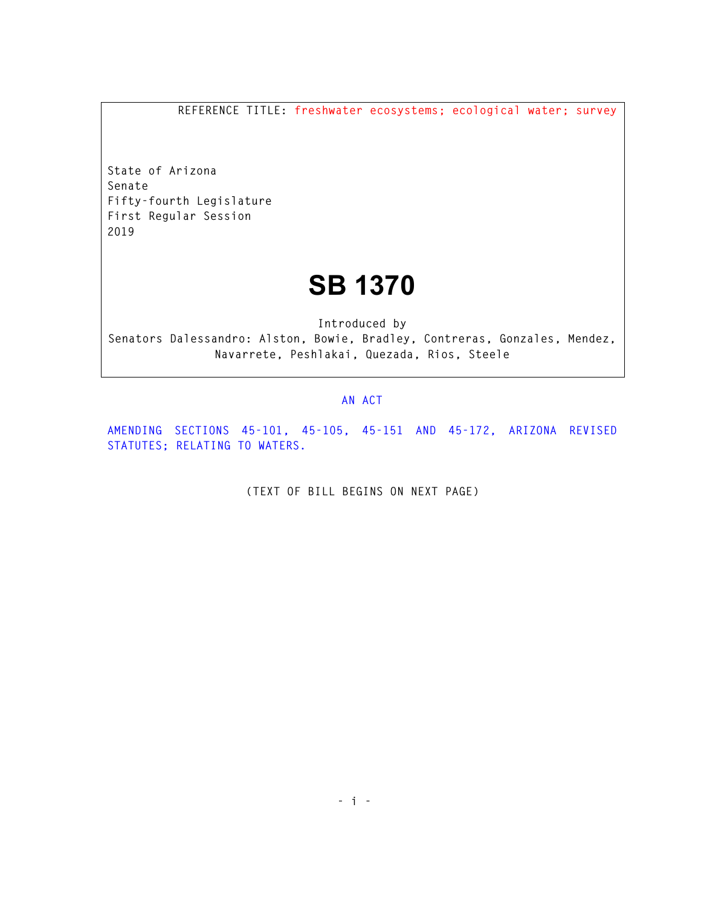**REFERENCE TITLE: freshwater ecosystems; ecological water; survey** 

**State of Arizona Senate Fifty-fourth Legislature First Regular Session 2019** 

## **SB 1370**

**Introduced by Senators Dalessandro: Alston, Bowie, Bradley, Contreras, Gonzales, Mendez, Navarrete, Peshlakai, Quezada, Rios, Steele** 

## **AN ACT**

**AMENDING SECTIONS 45-101, 45-105, 45-151 AND 45-172, ARIZONA REVISED STATUTES; RELATING TO WATERS.** 

**(TEXT OF BILL BEGINS ON NEXT PAGE)**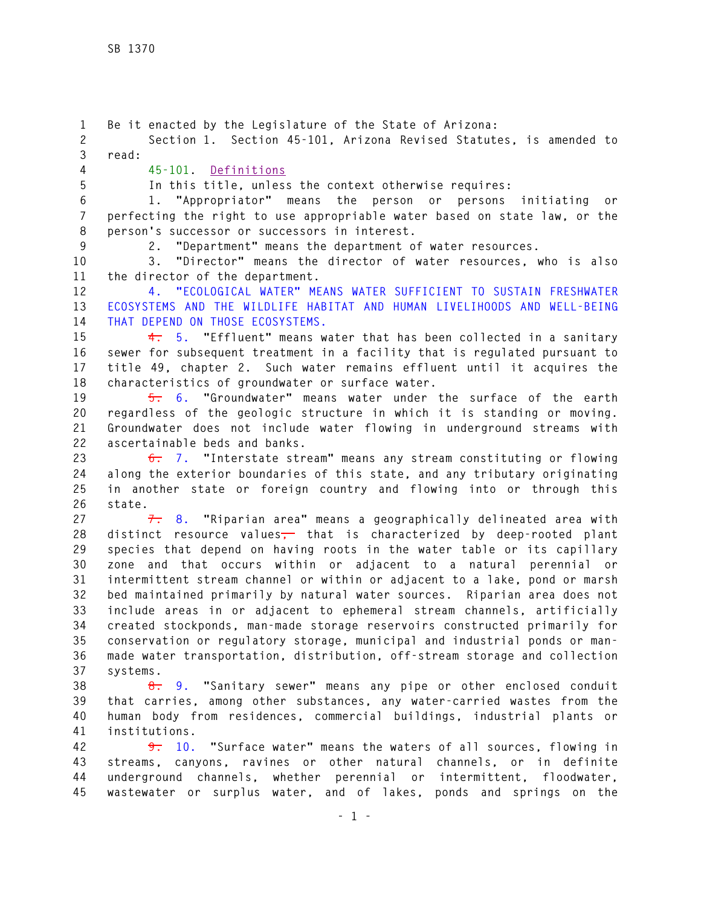**1 Be it enacted by the Legislature of the State of Arizona: 2 Section 1. Section 45-101, Arizona Revised Statutes, is amended to 3 read: 4 45-101. Definitions 5 In this title, unless the context otherwise requires: 6 1. "Appropriator" means the person or persons initiating or 7 perfecting the right to use appropriable water based on state law, or the 8 person's successor or successors in interest. 9 2. "Department" means the department of water resources. 10 3. "Director" means the director of water resources, who is also 11 the director of the department. 12 4. "ECOLOGICAL WATER" MEANS WATER SUFFICIENT TO SUSTAIN FRESHWATER 13 ECOSYSTEMS AND THE WILDLIFE HABITAT AND HUMAN LIVELIHOODS AND WELL-BEING 14 THAT DEPEND ON THOSE ECOSYSTEMS. 15 4. 5. "Effluent" means water that has been collected in a sanitary 16 sewer for subsequent treatment in a facility that is regulated pursuant to 17 title 49, chapter 2. Such water remains effluent until it acquires the 18 characteristics of groundwater or surface water. 19 5. 6. "Groundwater" means water under the surface of the earth 20 regardless of the geologic structure in which it is standing or moving. 21 Groundwater does not include water flowing in underground streams with 22 ascertainable beds and banks. 23 6. 7. "Interstate stream" means any stream constituting or flowing 24 along the exterior boundaries of this state, and any tributary originating 25 in another state or foreign country and flowing into or through this 26 state. 27 7. 8. "Riparian area" means a geographically delineated area with 28 distinct resource values, that is characterized by deep-rooted plant 29 species that depend on having roots in the water table or its capillary 30 zone and that occurs within or adjacent to a natural perennial or 31 intermittent stream channel or within or adjacent to a lake, pond or marsh 32 bed maintained primarily by natural water sources. Riparian area does not 33 include areas in or adjacent to ephemeral stream channels, artificially 34 created stockponds, man-made storage reservoirs constructed primarily for 35 conservation or regulatory storage, municipal and industrial ponds or man-36 made water transportation, distribution, off-stream storage and collection 37 systems. 38 8. 9. "Sanitary sewer" means any pipe or other enclosed conduit 39 that carries, among other substances, any water-carried wastes from the 40 human body from residences, commercial buildings, industrial plants or 41 institutions. 42 9. 10. "Surface water" means the waters of all sources, flowing in 43 streams, canyons, ravines or other natural channels, or in definite 44 underground channels, whether perennial or intermittent, floodwater, 45 wastewater or surplus water, and of lakes, ponds and springs on the**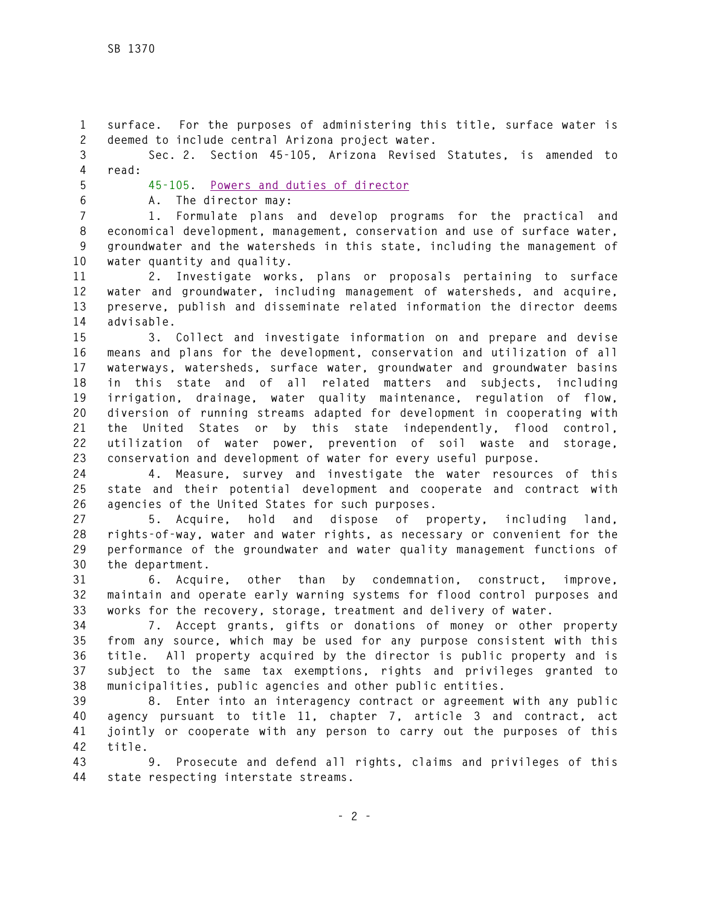**1 surface. For the purposes of administering this title, surface water is 2 deemed to include central Arizona project water. 3 Sec. 2. Section 45-105, Arizona Revised Statutes, is amended to 4 read: 5 45-105. Powers and duties of director 6 A. The director may: 7 1. Formulate plans and develop programs for the practical and 8 economical development, management, conservation and use of surface water, 9 groundwater and the watersheds in this state, including the management of 10 water quantity and quality. 11 2. Investigate works, plans or proposals pertaining to surface 12 water and groundwater, including management of watersheds, and acquire, 13 preserve, publish and disseminate related information the director deems 14 advisable. 15 3. Collect and investigate information on and prepare and devise 16 means and plans for the development, conservation and utilization of all 17 waterways, watersheds, surface water, groundwater and groundwater basins 18 in this state and of all related matters and subjects, including 19 irrigation, drainage, water quality maintenance, regulation of flow, 20 diversion of running streams adapted for development in cooperating with 21 the United States or by this state independently, flood control, 22 utilization of water power, prevention of soil waste and storage, 23 conservation and development of water for every useful purpose. 24 4. Measure, survey and investigate the water resources of this 25 state and their potential development and cooperate and contract with 26 agencies of the United States for such purposes. 27 5. Acquire, hold and dispose of property, including land, 28 rights-of-way, water and water rights, as necessary or convenient for the 29 performance of the groundwater and water quality management functions of 30 the department. 31 6. Acquire, other than by condemnation, construct, improve, 32 maintain and operate early warning systems for flood control purposes and 33 works for the recovery, storage, treatment and delivery of water. 34 7. Accept grants, gifts or donations of money or other property 35 from any source, which may be used for any purpose consistent with this 36 title. All property acquired by the director is public property and is 37 subject to the same tax exemptions, rights and privileges granted to 38 municipalities, public agencies and other public entities. 39 8. Enter into an interagency contract or agreement with any public 40 agency pursuant to title 11, chapter 7, article 3 and contract, act 41 jointly or cooperate with any person to carry out the purposes of this 42 title.** 

**43 9. Prosecute and defend all rights, claims and privileges of this 44 state respecting interstate streams.**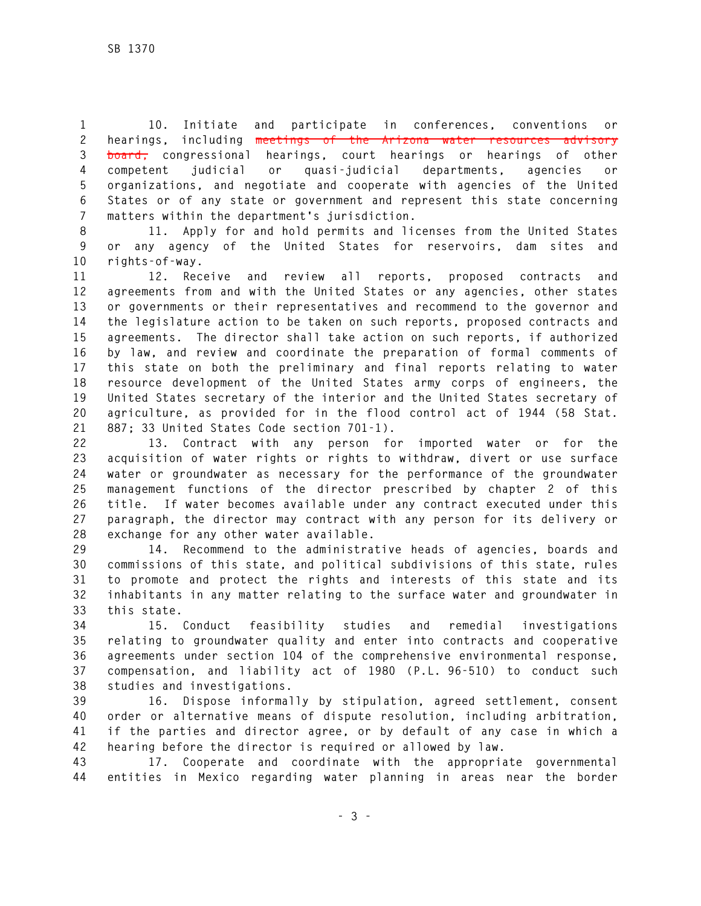**1 10. Initiate and participate in conferences, conventions or 2 hearings, including meetings of the Arizona water resources advisory 3 board, congressional hearings, court hearings or hearings of other 4 competent judicial or quasi-judicial departments, agencies or 5 organizations, and negotiate and cooperate with agencies of the United 6 States or of any state or government and represent this state concerning 7 matters within the department's jurisdiction.** 

**8 11. Apply for and hold permits and licenses from the United States 9 or any agency of the United States for reservoirs, dam sites and 10 rights-of-way.** 

**11 12. Receive and review all reports, proposed contracts and 12 agreements from and with the United States or any agencies, other states 13 or governments or their representatives and recommend to the governor and 14 the legislature action to be taken on such reports, proposed contracts and 15 agreements. The director shall take action on such reports, if authorized 16 by law, and review and coordinate the preparation of formal comments of 17 this state on both the preliminary and final reports relating to water 18 resource development of the United States army corps of engineers, the 19 United States secretary of the interior and the United States secretary of 20 agriculture, as provided for in the flood control act of 1944 (58 Stat. 21 887; 33 United States Code section 701-1).** 

**22 13. Contract with any person for imported water or for the 23 acquisition of water rights or rights to withdraw, divert or use surface 24 water or groundwater as necessary for the performance of the groundwater 25 management functions of the director prescribed by chapter 2 of this 26 title. If water becomes available under any contract executed under this 27 paragraph, the director may contract with any person for its delivery or 28 exchange for any other water available.** 

**29 14. Recommend to the administrative heads of agencies, boards and 30 commissions of this state, and political subdivisions of this state, rules 31 to promote and protect the rights and interests of this state and its 32 inhabitants in any matter relating to the surface water and groundwater in 33 this state.** 

**34 15. Conduct feasibility studies and remedial investigations 35 relating to groundwater quality and enter into contracts and cooperative 36 agreements under section 104 of the comprehensive environmental response, 37 compensation, and liability act of 1980 (P.L. 96-510) to conduct such 38 studies and investigations.** 

**39 16. Dispose informally by stipulation, agreed settlement, consent 40 order or alternative means of dispute resolution, including arbitration, 41 if the parties and director agree, or by default of any case in which a 42 hearing before the director is required or allowed by law.** 

**43 17. Cooperate and coordinate with the appropriate governmental 44 entities in Mexico regarding water planning in areas near the border**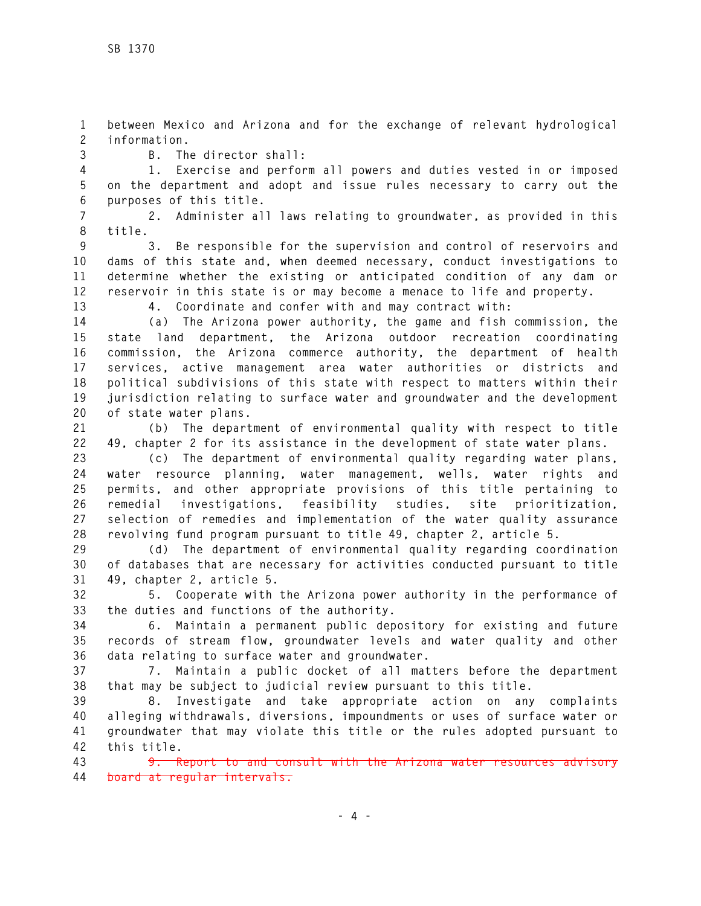**1 between Mexico and Arizona and for the exchange of relevant hydrological 2 information.** 

**3 B. The director shall:** 

**4 1. Exercise and perform all powers and duties vested in or imposed 5 on the department and adopt and issue rules necessary to carry out the 6 purposes of this title.** 

**7 2. Administer all laws relating to groundwater, as provided in this 8 title.** 

**9 3. Be responsible for the supervision and control of reservoirs and 10 dams of this state and, when deemed necessary, conduct investigations to 11 determine whether the existing or anticipated condition of any dam or 12 reservoir in this state is or may become a menace to life and property.** 

**13 4. Coordinate and confer with and may contract with:** 

**14 (a) The Arizona power authority, the game and fish commission, the 15 state land department, the Arizona outdoor recreation coordinating 16 commission, the Arizona commerce authority, the department of health 17 services, active management area water authorities or districts and 18 political subdivisions of this state with respect to matters within their 19 jurisdiction relating to surface water and groundwater and the development 20 of state water plans.** 

**21 (b) The department of environmental quality with respect to title 22 49, chapter 2 for its assistance in the development of state water plans.** 

**23 (c) The department of environmental quality regarding water plans, 24 water resource planning, water management, wells, water rights and 25 permits, and other appropriate provisions of this title pertaining to 26 remedial investigations, feasibility studies, site prioritization, 27 selection of remedies and implementation of the water quality assurance 28 revolving fund program pursuant to title 49, chapter 2, article 5.** 

**29 (d) The department of environmental quality regarding coordination 30 of databases that are necessary for activities conducted pursuant to title 31 49, chapter 2, article 5.** 

**32 5. Cooperate with the Arizona power authority in the performance of 33 the duties and functions of the authority.** 

**34 6. Maintain a permanent public depository for existing and future 35 records of stream flow, groundwater levels and water quality and other 36 data relating to surface water and groundwater.** 

**37 7. Maintain a public docket of all matters before the department 38 that may be subject to judicial review pursuant to this title.** 

**39 8. Investigate and take appropriate action on any complaints 40 alleging withdrawals, diversions, impoundments or uses of surface water or 41 groundwater that may violate this title or the rules adopted pursuant to 42 this title.** 

**43 9. Report to and consult with the Arizona water resources advisory 44 board at regular intervals.**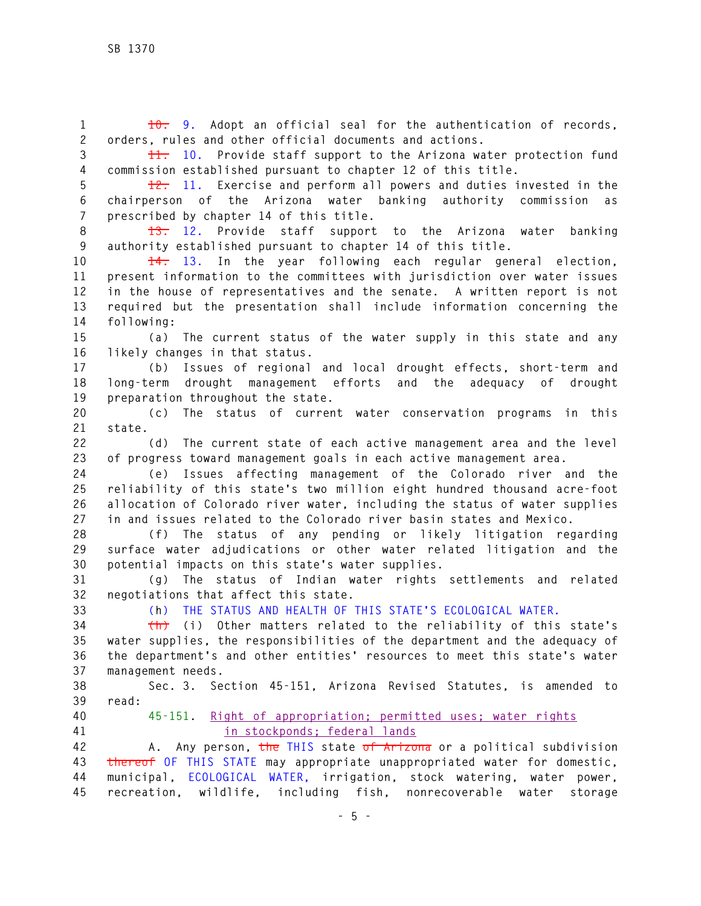**1 10. 9. Adopt an official seal for the authentication of records, 2 orders, rules and other official documents and actions.** 

**3 11. 10. Provide staff support to the Arizona water protection fund 4 commission established pursuant to chapter 12 of this title.** 

**5 12. 11. Exercise and perform all powers and duties invested in the 6 chairperson of the Arizona water banking authority commission as 7 prescribed by chapter 14 of this title.** 

**8 13. 12. Provide staff support to the Arizona water banking 9 authority established pursuant to chapter 14 of this title.** 

**10 14. 13. In the year following each regular general election, 11 present information to the committees with jurisdiction over water issues 12 in the house of representatives and the senate. A written report is not 13 required but the presentation shall include information concerning the 14 following:** 

**15 (a) The current status of the water supply in this state and any 16 likely changes in that status.** 

**17 (b) Issues of regional and local drought effects, short-term and 18 long-term drought management efforts and the adequacy of drought 19 preparation throughout the state.** 

**20 (c) The status of current water conservation programs in this 21 state.** 

**22 (d) The current state of each active management area and the level 23 of progress toward management goals in each active management area.** 

**24 (e) Issues affecting management of the Colorado river and the 25 reliability of this state's two million eight hundred thousand acre-foot 26 allocation of Colorado river water, including the status of water supplies 27 in and issues related to the Colorado river basin states and Mexico.** 

**28 (f) The status of any pending or likely litigation regarding 29 surface water adjudications or other water related litigation and the 30 potential impacts on this state's water supplies.** 

**31 (g) The status of Indian water rights settlements and related 32 negotiations that affect this state.**

**33 (h) THE STATUS AND HEALTH OF THIS STATE'S ECOLOGICAL WATER.** 

**34 (h) (i) Other matters related to the reliability of this state's 35 water supplies, the responsibilities of the department and the adequacy of 36 the department's and other entities' resources to meet this state's water 37 management needs.** 

**38 Sec. 3. Section 45-151, Arizona Revised Statutes, is amended to 39 read:** 

**40 45-151. Right of appropriation; permitted uses; water rights 41 in stockponds; federal lands**

**42 A. Any person, the THIS state of Arizona or a political subdivision 43 thereof OF THIS STATE may appropriate unappropriated water for domestic, 44 municipal, ECOLOGICAL WATER, irrigation, stock watering, water power, 45 recreation, wildlife, including fish, nonrecoverable water storage**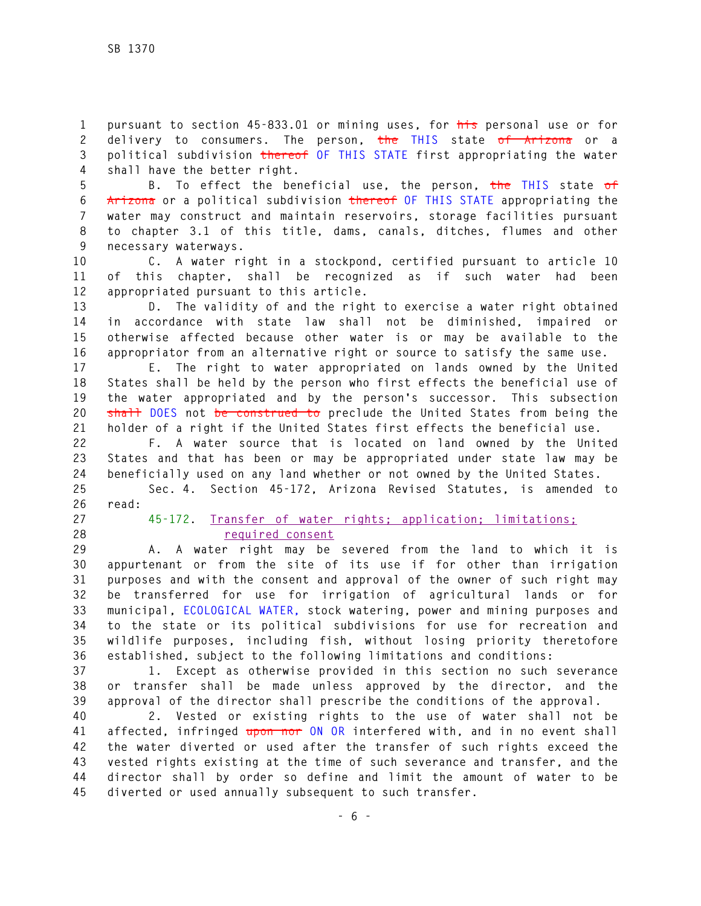**1 pursuant to section 45-833.01 or mining uses, for his personal use or for 2 delivery to consumers. The person, the THIS state of Arizona or a 3 political subdivision thereof OF THIS STATE first appropriating the water 4 shall have the better right.** 

**5 B. To effect the beneficial use, the person, the THIS state of 6 Arizona or a political subdivision thereof OF THIS STATE appropriating the 7 water may construct and maintain reservoirs, storage facilities pursuant 8 to chapter 3.1 of this title, dams, canals, ditches, flumes and other 9 necessary waterways.** 

**10 C. A water right in a stockpond, certified pursuant to article 10 11 of this chapter, shall be recognized as if such water had been 12 appropriated pursuant to this article.** 

**13 D. The validity of and the right to exercise a water right obtained 14 in accordance with state law shall not be diminished, impaired or 15 otherwise affected because other water is or may be available to the 16 appropriator from an alternative right or source to satisfy the same use.** 

**17 E. The right to water appropriated on lands owned by the United 18 States shall be held by the person who first effects the beneficial use of 19 the water appropriated and by the person's successor. This subsection 20 shall DOES not be construed to preclude the United States from being the 21 holder of a right if the United States first effects the beneficial use.** 

**22 F. A water source that is located on land owned by the United 23 States and that has been or may be appropriated under state law may be 24 beneficially used on any land whether or not owned by the United States.** 

**25 Sec. 4. Section 45-172, Arizona Revised Statutes, is amended to 26 read:** 

**27 45-172. Transfer of water rights; application; limitations; 28 required consent**

**29 A. A water right may be severed from the land to which it is 30 appurtenant or from the site of its use if for other than irrigation 31 purposes and with the consent and approval of the owner of such right may 32 be transferred for use for irrigation of agricultural lands or for 33 municipal, ECOLOGICAL WATER, stock watering, power and mining purposes and 34 to the state or its political subdivisions for use for recreation and 35 wildlife purposes, including fish, without losing priority theretofore 36 established, subject to the following limitations and conditions:** 

**37 1. Except as otherwise provided in this section no such severance 38 or transfer shall be made unless approved by the director, and the 39 approval of the director shall prescribe the conditions of the approval.** 

**40 2. Vested or existing rights to the use of water shall not be 41 affected, infringed upon nor ON OR interfered with, and in no event shall 42 the water diverted or used after the transfer of such rights exceed the 43 vested rights existing at the time of such severance and transfer, and the 44 director shall by order so define and limit the amount of water to be 45 diverted or used annually subsequent to such transfer.**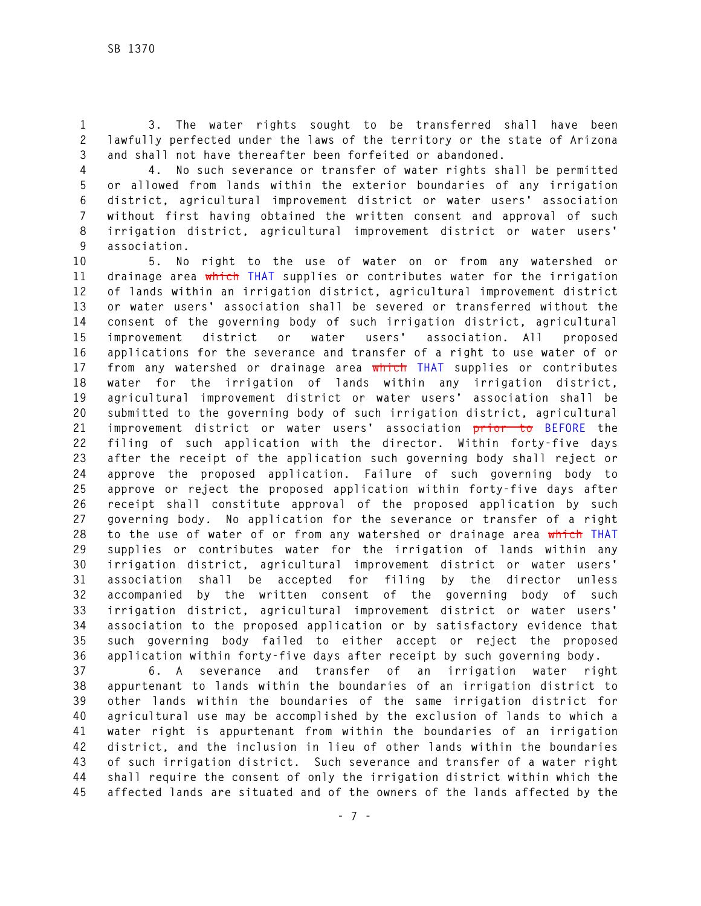**1 3. The water rights sought to be transferred shall have been 2 lawfully perfected under the laws of the territory or the state of Arizona 3 and shall not have thereafter been forfeited or abandoned.** 

**4 4. No such severance or transfer of water rights shall be permitted 5 or allowed from lands within the exterior boundaries of any irrigation 6 district, agricultural improvement district or water users' association 7 without first having obtained the written consent and approval of such 8 irrigation district, agricultural improvement district or water users' 9 association.** 

**10 5. No right to the use of water on or from any watershed or 11 drainage area which THAT supplies or contributes water for the irrigation 12 of lands within an irrigation district, agricultural improvement district 13 or water users' association shall be severed or transferred without the 14 consent of the governing body of such irrigation district, agricultural 15 improvement district or water users' association. All proposed 16 applications for the severance and transfer of a right to use water of or 17 from any watershed or drainage area which THAT supplies or contributes 18 water for the irrigation of lands within any irrigation district, 19 agricultural improvement district or water users' association shall be 20 submitted to the governing body of such irrigation district, agricultural 21 improvement district or water users' association prior to BEFORE the 22 filing of such application with the director. Within forty-five days 23 after the receipt of the application such governing body shall reject or 24 approve the proposed application. Failure of such governing body to 25 approve or reject the proposed application within forty-five days after 26 receipt shall constitute approval of the proposed application by such 27 governing body. No application for the severance or transfer of a right 28 to the use of water of or from any watershed or drainage area which THAT 29 supplies or contributes water for the irrigation of lands within any 30 irrigation district, agricultural improvement district or water users' 31 association shall be accepted for filing by the director unless 32 accompanied by the written consent of the governing body of such 33 irrigation district, agricultural improvement district or water users' 34 association to the proposed application or by satisfactory evidence that 35 such governing body failed to either accept or reject the proposed 36 application within forty-five days after receipt by such governing body.** 

**37 6. A severance and transfer of an irrigation water right 38 appurtenant to lands within the boundaries of an irrigation district to 39 other lands within the boundaries of the same irrigation district for 40 agricultural use may be accomplished by the exclusion of lands to which a 41 water right is appurtenant from within the boundaries of an irrigation 42 district, and the inclusion in lieu of other lands within the boundaries 43 of such irrigation district. Such severance and transfer of a water right 44 shall require the consent of only the irrigation district within which the 45 affected lands are situated and of the owners of the lands affected by the**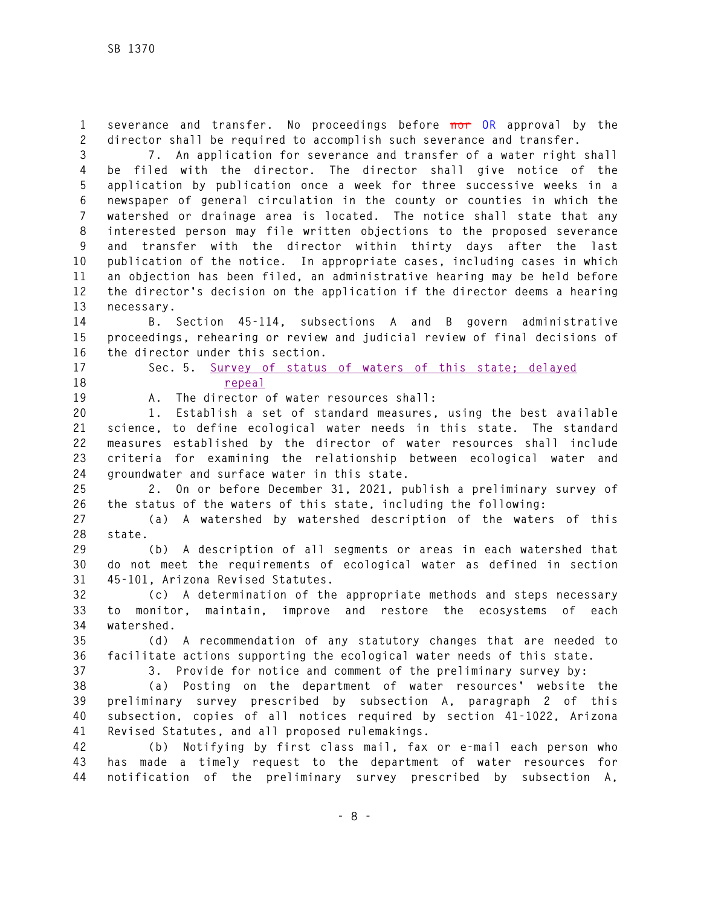**1 severance and transfer. No proceedings before nor OR approval by the 2 director shall be required to accomplish such severance and transfer.** 

**3 7. An application for severance and transfer of a water right shall 4 be filed with the director. The director shall give notice of the 5 application by publication once a week for three successive weeks in a 6 newspaper of general circulation in the county or counties in which the 7 watershed or drainage area is located. The notice shall state that any 8 interested person may file written objections to the proposed severance 9 and transfer with the director within thirty days after the last 10 publication of the notice. In appropriate cases, including cases in which 11 an objection has been filed, an administrative hearing may be held before 12 the director's decision on the application if the director deems a hearing 13 necessary.** 

**14 B. Section 45-114, subsections A and B govern administrative 15 proceedings, rehearing or review and judicial review of final decisions of 16 the director under this section.** 

**17 Sec. 5. Survey of status of waters of this state; delayed 18 repeal**

**19 A. The director of water resources shall:** 

**20 1. Establish a set of standard measures, using the best available 21 science, to define ecological water needs in this state. The standard 22 measures established by the director of water resources shall include 23 criteria for examining the relationship between ecological water and 24 groundwater and surface water in this state.** 

**25 2. On or before December 31, 2021, publish a preliminary survey of 26 the status of the waters of this state, including the following:** 

**27 (a) A watershed by watershed description of the waters of this 28 state.** 

**29 (b) A description of all segments or areas in each watershed that 30 do not meet the requirements of ecological water as defined in section 31 45-101, Arizona Revised Statutes.** 

**32 (c) A determination of the appropriate methods and steps necessary 33 to monitor, maintain, improve and restore the ecosystems of each 34 watershed.** 

**35 (d) A recommendation of any statutory changes that are needed to 36 facilitate actions supporting the ecological water needs of this state.** 

**37 3. Provide for notice and comment of the preliminary survey by:** 

**38 (a) Posting on the department of water resources' website the 39 preliminary survey prescribed by subsection A, paragraph 2 of this 40 subsection, copies of all notices required by section 41-1022, Arizona 41 Revised Statutes, and all proposed rulemakings.** 

**42 (b) Notifying by first class mail, fax or e-mail each person who 43 has made a timely request to the department of water resources for 44 notification of the preliminary survey prescribed by subsection A,**